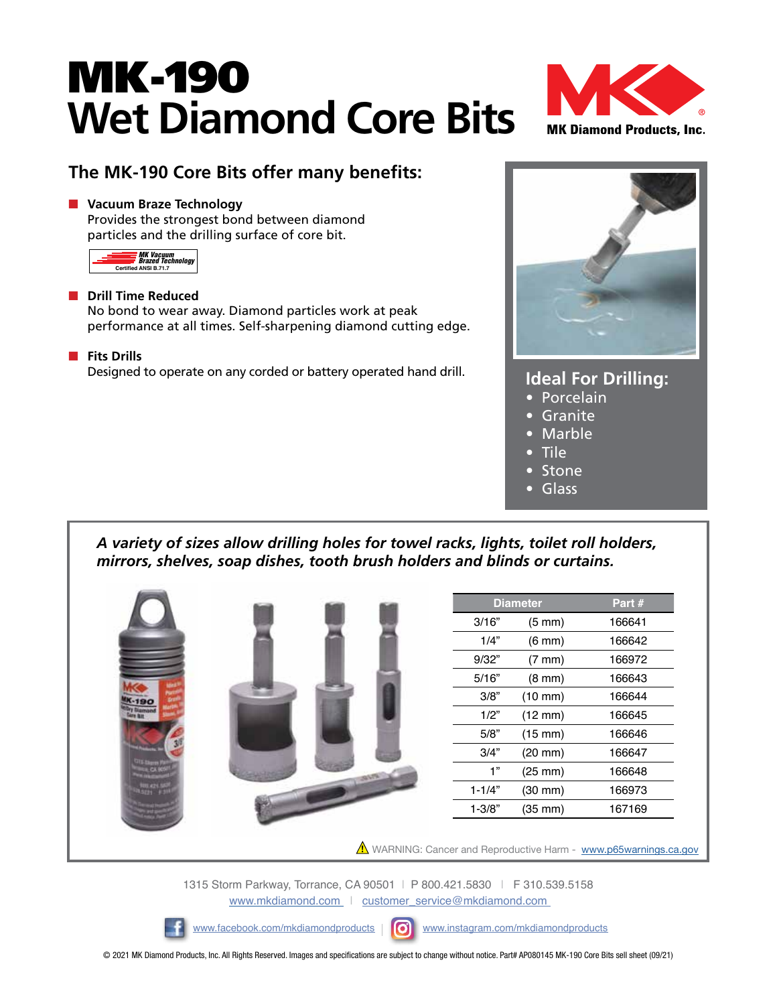# MK-190 **Wet Diamond Core Bits**



### **The MK-190 Core Bits offer many benefits:**

#### **N** Vacuum Braze Technology

Provides the strongest bond between diamond particles and the drilling surface of core bit.



#### **n** Drill Time Reduced

No bond to wear away. Diamond particles work at peak performance at all times. Self-sharpening diamond cutting edge.

#### **n** Fits Drills

Designed to operate on any corded or battery operated hand drill. **Ideal For Drilling:** 



- Porcelain
- **Granite**
- Marble
- Tile
- **Stone**
- Glass

*A variety of sizes allow drilling holes for towel racks, lights, toilet roll holders, mirrors, shelves, soap dishes, tooth brush holders and blinds or curtains.*



1315 Storm Parkway, Torrance, CA 90501 | P 800.421.5830 | F 310.539.5158 [www.mkdiamond.com](https://www.mkdiamond.com/) | customer\_service@mkdiamond.com



[www.facebook.com/mkdiamondproducts](http://www.facebook.com/mkdiamondproducts) | 0 [www.instagram.com/mkdiamondproducts](http://www.instagram.com/mkdiamondproducts)

© 2021 MK Diamond Products, Inc. All Rights Reserved. Images and specifications are subject to change without notice. Part# AP080145 MK-190 Core Bits sell sheet (09/21)